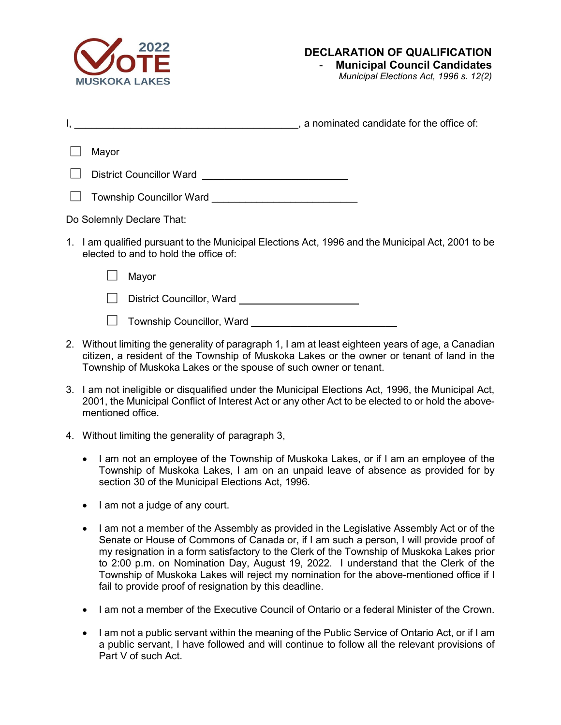

## **DECLARATION OF QUALIFICATION**

## - **Municipal Council Candidates**

*Municipal Elections Act, 1996 s. 12(2)*

|   | , a nominated candidate for the office of:                                                                                                 |
|---|--------------------------------------------------------------------------------------------------------------------------------------------|
|   | Mayor                                                                                                                                      |
|   | District Councillor Ward ______________________________                                                                                    |
|   |                                                                                                                                            |
|   | Do Solemnly Declare That:                                                                                                                  |
|   | 1. I am qualified pursuant to the Municipal Elections Act, 1996 and the Municipal Act, 2001 to be<br>elected to and to hold the office of: |
|   | Mayor                                                                                                                                      |
|   | District Councillor, Ward ____________________________                                                                                     |
|   |                                                                                                                                            |
| າ | Mithout limiting the generality of paragraph 1 I am at least eighteen vears of age a Capadian                                              |

- 100 nout limiting the generality of paragraph 1, I am at least eighteen years of age, a Cana citizen, a resident of the Township of Muskoka Lakes or the owner or tenant of land in the Township of Muskoka Lakes or the spouse of such owner or tenant.
- 3. I am not ineligible or disqualified under the Municipal Elections Act, 1996, the Municipal Act, 2001, the Municipal Conflict of Interest Act or any other Act to be elected to or hold the abovementioned office.
- 4. Without limiting the generality of paragraph 3,
	- I am not an employee of the Township of Muskoka Lakes, or if I am an employee of the Township of Muskoka Lakes, I am on an unpaid leave of absence as provided for by section 30 of the Municipal Elections Act, 1996.
	- I am not a judge of any court.
	- I am not a member of the Assembly as provided in the Legislative Assembly Act or of the Senate or House of Commons of Canada or, if I am such a person, I will provide proof of my resignation in a form satisfactory to the Clerk of the Township of Muskoka Lakes prior to 2:00 p.m. on Nomination Day, August 19, 2022. I understand that the Clerk of the Township of Muskoka Lakes will reject my nomination for the above-mentioned office if I fail to provide proof of resignation by this deadline.
	- I am not a member of the Executive Council of Ontario or a federal Minister of the Crown.
	- I am not a public servant within the meaning of the Public Service of Ontario Act, or if I am a public servant, I have followed and will continue to follow all the relevant provisions of Part V of such Act.